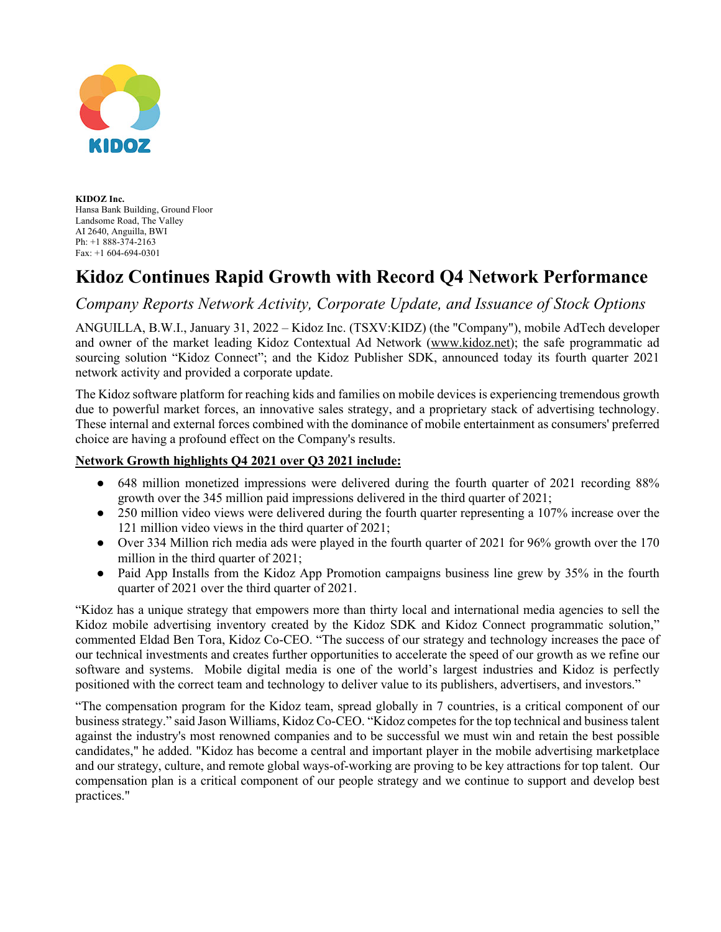

**KIDOZ Inc.** Hansa Bank Building, Ground Floor Landsome Road, The Valley AI 2640, Anguilla, BWI Ph: +1 888-374-2163 Fax: +1 604-694-0301

## **Kidoz Continues Rapid Growth with Record Q4 Network Performance**

## *Company Reports Network Activity, Corporate Update, and Issuance of Stock Options*

ANGUILLA, B.W.I., January 31, 2022 – Kidoz Inc. (TSXV:KIDZ) (the "Company"), mobile AdTech developer and owner of the market leading Kidoz Contextual Ad Network (www.kidoz.net); the safe programmatic ad sourcing solution "Kidoz Connect"; and the Kidoz Publisher SDK, announced today its fourth quarter 2021 network activity and provided a corporate update.

The Kidoz software platform for reaching kids and families on mobile devices is experiencing tremendous growth due to powerful market forces, an innovative sales strategy, and a proprietary stack of advertising technology. These internal and external forces combined with the dominance of mobile entertainment as consumers' preferred choice are having a profound effect on the Company's results.

## **Network Growth highlights Q4 2021 over Q3 2021 include:**

- 648 million monetized impressions were delivered during the fourth quarter of 2021 recording 88% growth over the 345 million paid impressions delivered in the third quarter of 2021;
- 250 million video views were delivered during the fourth quarter representing a 107% increase over the 121 million video views in the third quarter of 2021;
- Over 334 Million rich media ads were played in the fourth quarter of 2021 for 96% growth over the 170 million in the third quarter of 2021;
- Paid App Installs from the Kidoz App Promotion campaigns business line grew by 35% in the fourth quarter of 2021 over the third quarter of 2021.

"Kidoz has a unique strategy that empowers more than thirty local and international media agencies to sell the Kidoz mobile advertising inventory created by the Kidoz SDK and Kidoz Connect programmatic solution," commented Eldad Ben Tora, Kidoz Co-CEO. "The success of our strategy and technology increases the pace of our technical investments and creates further opportunities to accelerate the speed of our growth as we refine our software and systems. Mobile digital media is one of the world's largest industries and Kidoz is perfectly positioned with the correct team and technology to deliver value to its publishers, advertisers, and investors."

"The compensation program for the Kidoz team, spread globally in 7 countries, is a critical component of our business strategy." said Jason Williams, Kidoz Co-CEO. "Kidoz competes for the top technical and business talent against the industry's most renowned companies and to be successful we must win and retain the best possible candidates," he added. "Kidoz has become a central and important player in the mobile advertising marketplace and our strategy, culture, and remote global ways-of-working are proving to be key attractions for top talent. Our compensation plan is a critical component of our people strategy and we continue to support and develop best practices."